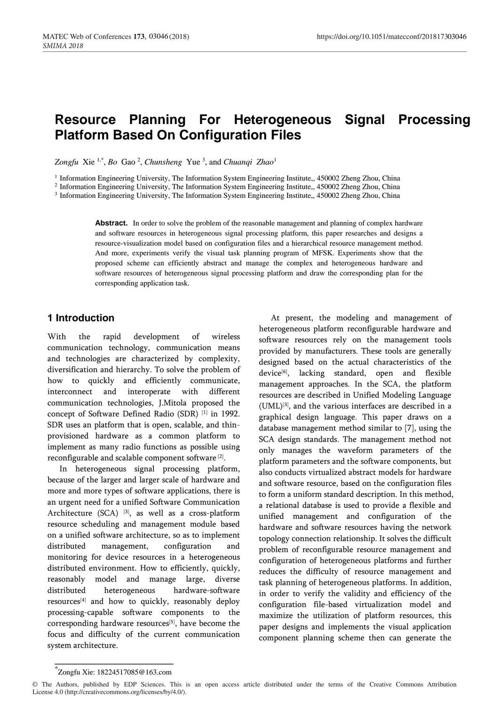# **Resource Planning For Heterogeneous Signal Processing Platform Based On Configuration Files**

Zongfu Xie<sup>1,\*</sup>, Bo Gao<sup>2</sup>, *Chunsheng* Yue<sup>3</sup>, and *Chuanqi Zhao*<sup>1</sup>

<sup>1</sup> Information Engineering University, The Information System Engineering Institute,, 450002 Zheng Zhou, China

2 Information Engineering University, The Information System Engineering Institute,, 450002 Zheng Zhou, China

3 Information Engineering University, The Information System Engineering Institute,, 450002 Zheng Zhou, China

**Abstract.** In order to solve the problem of the reasonable management and planning of complex hardware and software resources in heterogeneous signal processing platform, this paper researches and designs a resource-visualization model based on configuration files and a hierarchical resource management method. And more, experiments verify the visual task planning program of MFSK. Experiments show that the proposed scheme can efficiently abstract and manage the complex and heterogeneous hardware and software resources of heterogeneous signal processing platform and draw the corresponding plan for the corresponding application task.

### **1 Introduction**

With the rapid development of wireless communication technology, communication means and technologies are characterized by complexity, diversification and hierarchy. To solve the problem of how to quickly and efficiently communicate, interconnect and interoperate with different communication technologies, J.Mitola proposed the concept of Software Defined Radio (SDR) [1] in 1992. SDR uses an platform that is open, scalable, and thinprovisioned hardware as a common platform to implement as many radio functions as possible using reconfigurable and scalable component software [2] .

In heterogeneous signal processing platform, because of the larger and larger scale of hardware and more and more types of software applications, there is an urgent need for a unified Software Communication Architecture (SCA)<sup>[3]</sup>, as well as a cross-platform resource scheduling and management module based on a unified software architecture, so as to implement distributed management, configuration and monitoring for device resources in a heterogeneous distributed environment. How to efficiently, quickly, reasonably model and manage large, diverse distributed heterogeneous hardware-software resources[4] and how to quickly, reasonably deploy processing-capable software components to the corresponding hardware resources<sup>[5]</sup>, have become the focus and difficulty of the current communication system architecture.

At present, the modeling and management of heterogeneous platform reconfigurable hardware and software resources rely on the management tools provided by manufacturers. These tools are generally designed based on the actual characteristics of the device[6] , lacking standard, open and flexible management approaches. In the SCA, the platform resources are described in Unified Modeling Language (UML)[3] , and the various interfaces are described in a graphical design language. This paper draws on a database management method similar to [7], using the SCA design standards. The management method not only manages the waveform parameters of the platform parameters and the software components, but also conducts virtualized abstract models for hardware and software resource, based on the configuration files to form a uniform standard description. In this method, a relational database is used to provide a flexible and unified management and configuration of the hardware and software resources having the network topology connection relationship. It solves the difficult problem of reconfigurable resource management and configuration of heterogeneous platforms and further reduces the difficulty of resource management and task planning of heterogeneous platforms. In addition, in order to verify the validity and efficiency of the configuration file-based virtualization model and maximize the utilization of platform resources, this paper designs and implements the visual application component planning scheme then can generate the

<sup>\*</sup> Zongfu Xie: 18224517085@163.com

<sup>©</sup> The Authors, published by EDP Sciences. This is an open access article distributed under the terms of the Creative Commons Attribution License 4.0 (http://creativecommons.org/licenses/by/4.0/).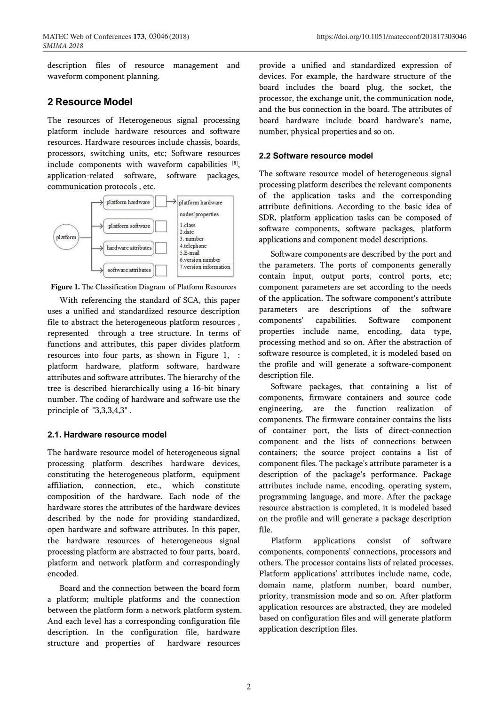description files of resource management and waveform component planning.

### **2 Resource Model**

The resources of Heterogeneous signal processing platform include hardware resources and software resources. Hardware resources include chassis, boards, processors, switching units, etc; Software resources include components with waveform capabilities [8] , application-related software, software packages, communication protocols , etc.



**Figure 1.** The Classification Diagram of Platform Resources

With referencing the standard of SCA, this paper uses a unified and standardized resource description file to abstract the heterogeneous platform resources , represented through a tree structure. In terms of functions and attributes, this paper divides platform resources into four parts, as shown in Figure 1, : platform hardware, platform software, hardware attributes and software attributes. The hierarchy of the tree is described hierarchically using a 16-bit binary number. The coding of hardware and software use the principle of "3,3,3,4,3" .

### **2.1. Hardware resource model**

The hardware resource model of heterogeneous signal processing platform describes hardware devices, constituting the heterogeneous platform, equipment affiliation, connection, etc., which constitute composition of the hardware. Each node of the hardware stores the attributes of the hardware devices described by the node for providing standardized, open hardware and software attributes. In this paper, the hardware resources of heterogeneous signal processing platform are abstracted to four parts, board, platform and network platform and correspondingly encoded.

Board and the connection between the board form a platform; multiple platforms and the connection between the platform form a network platform system. And each level has a corresponding configuration file description. In the configuration file, hardware structure and properties of hardware resources

provide a unified and standardized expression of devices. For example, the hardware structure of the board includes the board plug, the socket, the processor, the exchange unit, the communication node, and the bus connection in the board. The attributes of board hardware include board hardware's name, number, physical properties and so on.

### **2.2 Software resource model**

The software resource model of heterogeneous signal processing platform describes the relevant components of the application tasks and the corresponding attribute definitions. According to the basic idea of SDR, platform application tasks can be composed of software components, software packages, platform applications and component model descriptions.

Software components are described by the port and the parameters. The ports of components generally contain input, output ports, control ports, etc; component parameters are set according to the needs of the application. The software component's attribute parameters are descriptions of the software components' capabilities. Software component properties include name, encoding, data type, processing method and so on. After the abstraction of software resource is completed, it is modeled based on the profile and will generate a software-component description file.

Software packages, that containing a list of components, firmware containers and source code engineering, are the function realization of components. The firmware container contains the lists of container port, the lists of direct-connection component and the lists of connections between containers; the source project contains a list of component files. The package's attribute parameter is a description of the package's performance. Package attributes include name, encoding, operating system, programming language, and more. After the package resource abstraction is completed, it is modeled based on the profile and will generate a package description file.

Platform applications consist of software components, components' connections, processors and others. The processor contains lists of related processes. Platform applications' attributes include name, code, domain name, platform number, board number, priority, transmission mode and so on. After platform application resources are abstracted, they are modeled based on configuration files and will generate platform application description files.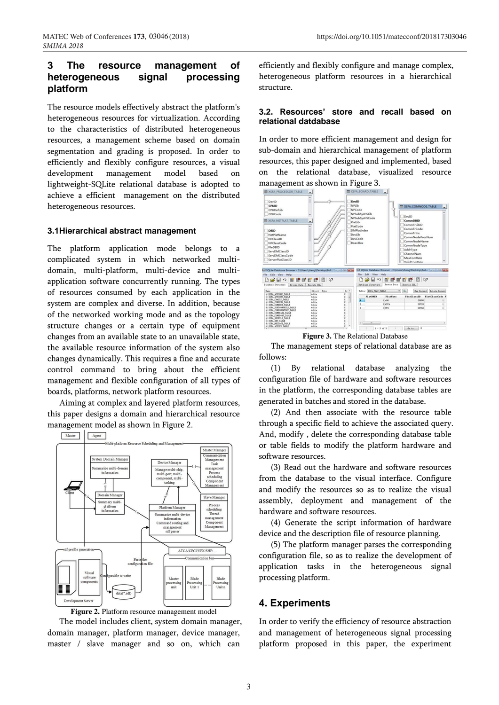# **3 The resource management of heterogeneous signal processing platform**

The resource models effectively abstract the platform's heterogeneous resources for virtualization. According to the characteristics of distributed heterogeneous resources, a management scheme based on domain segmentation and grading is proposed. In order to efficiently and flexibly configure resources, a visual development management model based on lightweight-SQLite relational database is adopted to achieve a efficient management on the distributed heterogeneous resources.

#### **3.1Hierarchical abstract management**

The platform application mode belongs to a complicated system in which networked multidomain, multi-platform, multi-device and multiapplication software concurrently running. The types of resources consumed by each application in the system are complex and diverse. In addition, because of the networked working mode and as the topology structure changes or a certain type of equipment changes from an available state to an unavailable state, the available resource information of the system also changes dynamically. This requires a fine and accurate control command to bring about the efficient management and flexible configuration of all types of boards, platforms, network platform resources.

Aiming at complex and layered platform resources, this paper designs a domain and hierarchical resource management model as shown in Figure 2.





The model includes client, system domain manager, domain manager, platform manager, device manager, master / slave manager and so on, which can

efficiently and flexibly configure and manage complex, heterogeneous platform resources in a hierarchical structure.

#### **3.2. Resources' store and recall based on relational datdabase**

In order to more efficient management and design for sub-domain and hierarchical management of platform resources, this paper designed and implemented, based on the relational database, visualized resource management as shown in Figure 3.



**Figure 3.** The Relational Database

The management steps of relational database are as follows:

(1) By relational database analyzing the configuration file of hardware and software resources in the platform, the corresponding database tables are generated in batches and stored in the database.

(2) And then associate with the resource table through a specific field to achieve the associated query. And, modify , delete the corresponding database table or table fields to modify the platform hardware and software resources.

(3) Read out the hardware and software resources from the database to the visual interface. Configure and modify the resources so as to realize the visual assembly, deployment and management of the hardware and software resources.

(4) Generate the script information of hardware device and the description file of resource planning.

(5) The platform manager parses the corresponding configuration file, so as to realize the development of application tasks in the heterogeneous signal processing platform.

### **4. Experiments**

In order to verify the efficiency of resource abstraction and management of heterogeneous signal processing platform proposed in this paper, the experiment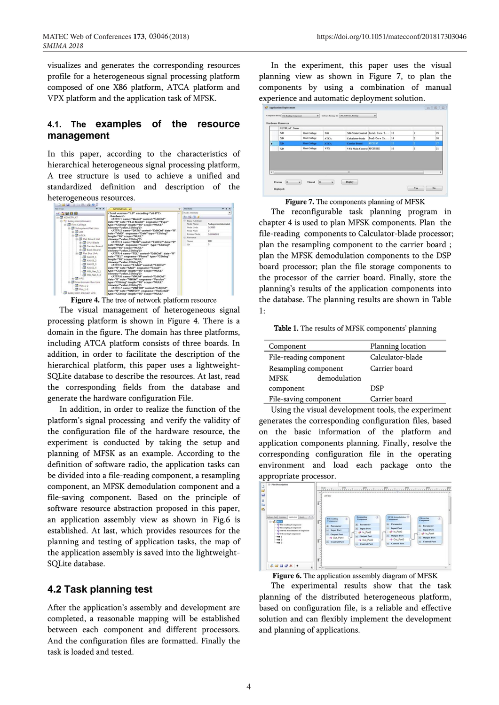visualizes and generates the corresponding resources profile for a heterogeneous signal processing platform composed of one X86 platform, ATCA platform and VPX platform and the application task of MFSK.

### **4.1. The examples of the resource management**

In this paper, according to the characteristics of hierarchical heterogeneous signal processing platform, A tree structure is used to achieve a unified and standardized definition and description of the heterogeneous resources.



**Figure 4.** The tree of network platform resource

The visual management of heterogeneous signal processing platform is shown in Figure 4. There is a domain in the figure. The domain has three platforms, including ATCA platform consists of three boards. In addition, in order to facilitate the description of the hierarchical platform, this paper uses a lightweight-SQLite database to describe the resources. At last, read the corresponding fields from the database and generate the hardware configuration File.

In addition, in order to realize the function of the platform's signal processing and verify the validity of the configuration file of the hardware resource, the experiment is conducted by taking the setup and planning of MFSK as an example. According to the definition of software radio, the application tasks can be divided into a file-reading component, a resampling component, an MFSK demodulation component and a file-saving component. Based on the principle of software resource abstraction proposed in this paper, an application assembly view as shown in Fig.6 is established. At last, which provides resources for the planning and testing of application tasks, the map of the application assembly is saved into the lightweight-SQLite database.

### **4.2 Task planning test**

After the application's assembly and development are completed, a reasonable mapping will be established between each component and different processors. And the configuration files are formatted. Finally the task is loaded and tested.

In the experiment, this paper uses the visual planning view as shown in Figure 7, to plan the components by using a combination of manual experience and automatic deployment solution.

|            | <b>NETPLAT Name</b> |                      |             |                                  |                                  |           |                |    |
|------------|---------------------|----------------------|-------------|----------------------------------|----------------------------------|-----------|----------------|----|
|            | <b>XD</b>           | <b>First College</b> | <b>X86</b>  |                                  | X86 Main Control Intel Core T 13 |           | 1              | 15 |
|            | XD                  | <b>First College</b> | <b>ATCA</b> | Calculator-blade                 | Dual-Core In 14                  |           | $\overline{2}$ | 16 |
| ъ          | XD                  | <b>First College</b> | <b>ATCA</b> | <b>Carrier Board</b>             | <b>HPC8247</b>                   | <b>15</b> | ×              | 17 |
|            | <b>XD</b>           | <b>First College</b> | <b>VPX</b>  | <b>VPX Main Control HPC8536E</b> |                                  | 18        | l3             | 21 |
| $\epsilon$ |                     |                      |             | n                                |                                  |           |                |    |

**Figure 7.** The components planning of MFSK

The reconfigurable task planning program in chapter 4 is used to plan MFSK components. Plan the file-reading components to Calculator-blade processor; plan the resampling component to the carrier board ; plan the MFSK demodulation components to the DSP board processor; plan the file storage components to the processor of the carrier board. Finally, store the planning's results of the application components into the database. The planning results are shown in Table 1:

Table 1. The results of MFSK components' planning

| Component                   | Planning location |  |  |
|-----------------------------|-------------------|--|--|
| File-reading component      | Calculator-blade  |  |  |
| Resampling component        | Carrier board     |  |  |
| <b>MFSK</b><br>demodulation |                   |  |  |
| component                   | <b>DSP</b>        |  |  |
| File-saving component       | Carrier board     |  |  |

Using the visual development tools, the experiment generates the corresponding configuration files, based on the basic information of the platform and application components planning. Finally, resolve the corresponding configuration file in the operating environment and load each package onto the appropriate processor.



**Figure 6.** The application assembly diagram of MFSK

The experimental results show that the task planning of the distributed heterogeneous platform, based on configuration file, is a reliable and effective solution and can flexibly implement the development and planning of applications.